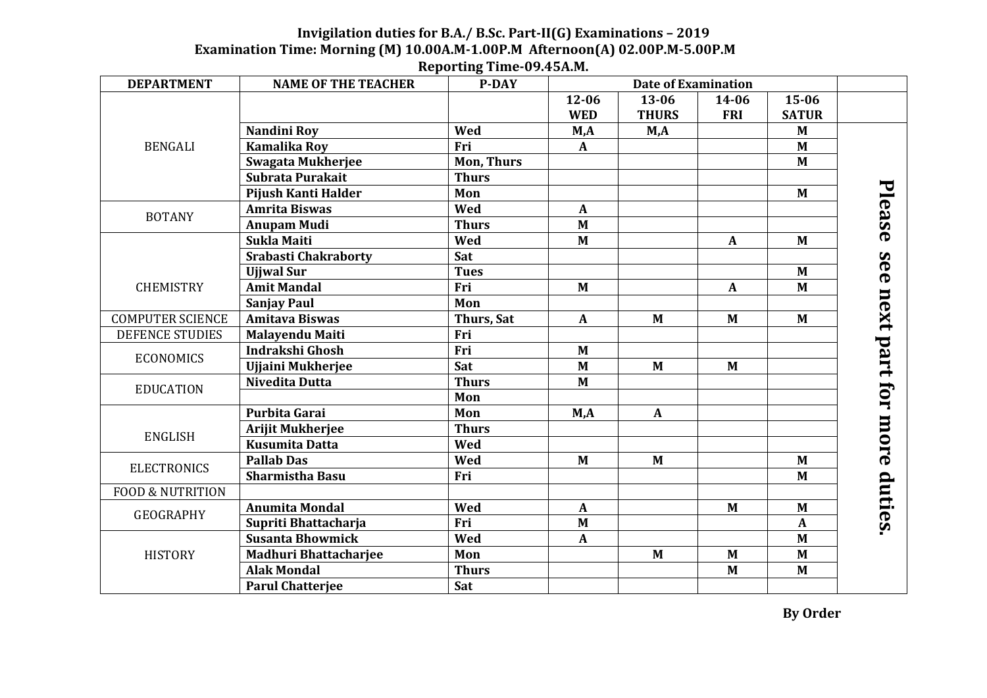## **Invigilation duties for B.A./ B.Sc. Part-II(G) Examinations – 2019 Examination Time: Morning (M) 10.00A.M-1.00P.M Afternoon(A) 02.00P.M-5.00P.M**

| <b>DEPARTMENT</b>           | <b>NAME OF THE TEACHER</b>   | <b>P-DAY</b>      |              | <b>Date of Examination</b> |                  |              |               |
|-----------------------------|------------------------------|-------------------|--------------|----------------------------|------------------|--------------|---------------|
| <b>BENGALI</b>              |                              |                   | $12 - 06$    | 13-06                      | 14-06            | 15-06        |               |
|                             |                              |                   | <b>WED</b>   | <b>THURS</b>               | <b>FRI</b>       | <b>SATUR</b> |               |
|                             | Nandini Roy                  | Wed               | M,A          | M,A                        |                  | M            |               |
|                             | <b>Kamalika Roy</b>          | Fri               | $\mathbf{A}$ |                            |                  | M            |               |
|                             | <b>Swagata Mukherjee</b>     | <b>Mon, Thurs</b> |              |                            |                  | M            |               |
|                             | Subrata Purakait             | <b>Thurs</b>      |              |                            |                  |              |               |
|                             | Pijush Kanti Halder          | Mon               |              |                            |                  | M            |               |
| <b>BOTANY</b>               | <b>Amrita Biswas</b>         | Wed               | $\mathbf{A}$ |                            |                  |              | Please        |
|                             | <b>Anupam Mudi</b>           | <b>Thurs</b>      | $\mathbf{M}$ |                            |                  |              |               |
|                             | Sukla Maiti                  | Wed               | $\mathbf{M}$ |                            | $\mathbf{A}$     | M            |               |
|                             | <b>Srabasti Chakraborty</b>  | Sat               |              |                            |                  |              |               |
|                             | <b>Ujiwal Sur</b>            | <b>Tues</b>       |              |                            |                  | $M$          | See           |
| <b>CHEMISTRY</b>            | <b>Amit Mandal</b>           | Fri               | $\mathbf{M}$ |                            | $\boldsymbol{A}$ | M            |               |
|                             | <b>Sanjay Paul</b>           | Mon               |              |                            |                  |              | next          |
| <b>COMPUTER SCIENCE</b>     | <b>Amitava Biswas</b>        | Thurs, Sat        | $\mathbf{A}$ | $\mathbf{M}$               | M                | M            |               |
| <b>DEFENCE STUDIES</b>      | <b>Malayendu Maiti</b>       | Fri               |              |                            |                  |              |               |
|                             | Indrakshi Ghosh              | Fri               | $\mathbf{M}$ |                            |                  |              |               |
| <b>ECONOMICS</b>            | <b>Ujjaini Mukherjee</b>     | Sat               | $\mathbf{M}$ | $M$                        | $\mathbf{M}$     |              | part for more |
| <b>EDUCATION</b>            | Nivedita Dutta               | <b>Thurs</b>      | $\mathbf{M}$ |                            |                  |              |               |
|                             |                              | Mon               |              |                            |                  |              |               |
| <b>ENGLISH</b>              | Purbita Garai                | Mon               | M,A          | $\mathbf{A}$               |                  |              |               |
|                             | <b>Arijit Mukherjee</b>      | <b>Thurs</b>      |              |                            |                  |              |               |
|                             | <b>Kusumita Datta</b>        | Wed               |              |                            |                  |              |               |
| <b>ELECTRONICS</b>          | <b>Pallab Das</b>            | Wed               | $M$          | $\mathbf{M}$               |                  | M            |               |
|                             | <b>Sharmistha Basu</b>       | Fri               |              |                            |                  | M            |               |
| <b>FOOD &amp; NUTRITION</b> |                              |                   |              |                            |                  |              | duties.       |
| <b>GEOGRAPHY</b>            | <b>Anumita Mondal</b>        | Wed               | $\mathbf{A}$ |                            | M                | M            |               |
|                             | Supriti Bhattacharja         | Fri               | M            |                            |                  | $\mathbf{A}$ |               |
| <b>HISTORY</b>              | <b>Susanta Bhowmick</b>      | Wed               | $\mathbf{A}$ |                            |                  | M            |               |
|                             | <b>Madhuri Bhattacharjee</b> | Mon               |              | $\mathbf{M}$               | M                | M            |               |
|                             | <b>Alak Mondal</b>           | <b>Thurs</b>      |              |                            | M                | M            |               |
|                             | <b>Parul Chatterjee</b>      | Sat               |              |                            |                  |              |               |

## **Reporting Time-09.45A.M.**

**By Order**